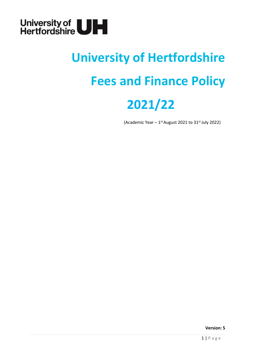

# **University of Hertfordshire Fees and Finance Policy 2021/22**

(Academic Year  $-1$ <sup>st</sup> August 2021 to 31st July 2022)

**Version: 5**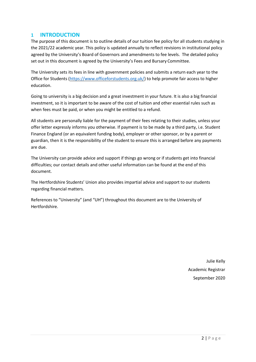# <span id="page-1-0"></span>**1 INTRODUCTION**

The purpose of this document is to outline details of our tuition fee policy for all students studying in the 2021/22 academic year. This policy is updated annually to reflect revisions in institutional policy agreed by the University's Board of Governors and amendments to fee levels. The detailed policy set out in this document is agreed by the University's Fees and Bursary Committee.

The University sets its fees in line with government policies and submits a return each year to the Office for Students [\(https://www.officeforstudents.org.uk/\)](https://www.officeforstudents.org.uk/) to help promote fair access to higher education.

Going to university is a big decision and a great investment in your future. It is also a big financial investment, so it is important to be aware of the cost of tuition and other essential rules such as when fees must be paid, or when you might be entitled to a refund.

All students are personally liable for the payment of their fees relating to their studies, unless your offer letter expressly informs you otherwise. If payment is to be made by a third party, i.e. Student Finance England (or an equivalent funding body), employer or other sponsor, or by a parent or guardian, then it is the responsibility of the student to ensure this is arranged before any payments are due.

The University can provide advice and support if things go wrong or if students get into financial difficulties; our contact details and other useful information can be found at the end of this document.

The Hertfordshire Students' Union also provides impartial advice and support to our students regarding financial matters.

References to "University" (and "UH") throughout this document are to the University of Hertfordshire.

> Julie Kelly Academic Registrar September 2020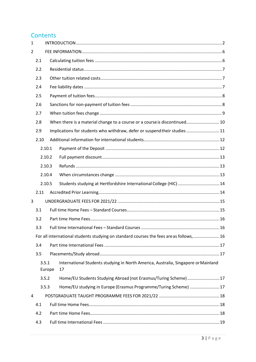# **Contents**

| $\mathbf{1}$ |                 |  |                                                                                          |  |  |  |  |  |  |  |  |
|--------------|-----------------|--|------------------------------------------------------------------------------------------|--|--|--|--|--|--|--|--|
| 2            |                 |  |                                                                                          |  |  |  |  |  |  |  |  |
|              | 2.1             |  |                                                                                          |  |  |  |  |  |  |  |  |
|              | 2.2             |  |                                                                                          |  |  |  |  |  |  |  |  |
|              | 2.3             |  |                                                                                          |  |  |  |  |  |  |  |  |
|              | 2.4             |  |                                                                                          |  |  |  |  |  |  |  |  |
|              | 2.5             |  |                                                                                          |  |  |  |  |  |  |  |  |
|              | 2.6             |  |                                                                                          |  |  |  |  |  |  |  |  |
|              | 2.7             |  |                                                                                          |  |  |  |  |  |  |  |  |
|              | 2.8             |  | When there is a material change to a course or a course is discontinued 10               |  |  |  |  |  |  |  |  |
|              | 2.9             |  | Implications for students who withdraw, defer or suspend their studies 11                |  |  |  |  |  |  |  |  |
|              | 2.10            |  |                                                                                          |  |  |  |  |  |  |  |  |
|              | 2.10.1          |  |                                                                                          |  |  |  |  |  |  |  |  |
|              | 2.10.2          |  |                                                                                          |  |  |  |  |  |  |  |  |
|              | 2.10.3          |  |                                                                                          |  |  |  |  |  |  |  |  |
|              | 2.10.4          |  |                                                                                          |  |  |  |  |  |  |  |  |
|              | 2.10.5          |  | Students studying at Hertfordshire International College (HIC)  14                       |  |  |  |  |  |  |  |  |
|              | 2.11            |  |                                                                                          |  |  |  |  |  |  |  |  |
| 3            |                 |  |                                                                                          |  |  |  |  |  |  |  |  |
|              | 3.1             |  |                                                                                          |  |  |  |  |  |  |  |  |
|              | 3.2             |  |                                                                                          |  |  |  |  |  |  |  |  |
|              | 3.3             |  |                                                                                          |  |  |  |  |  |  |  |  |
|              |                 |  | For all international students studying on standard courses the fees are as follows,  16 |  |  |  |  |  |  |  |  |
|              | 3.4             |  |                                                                                          |  |  |  |  |  |  |  |  |
|              | 3.5             |  |                                                                                          |  |  |  |  |  |  |  |  |
|              | 3.5.1<br>Europe |  | International Students studying in North America, Australia, Singapore or Mainland<br>17 |  |  |  |  |  |  |  |  |
|              | 3.5.2           |  | Home/EU Students Studying Abroad (not Erasmus/Turing Scheme) 17                          |  |  |  |  |  |  |  |  |
|              | 3.5.3           |  | Home/EU studying in Europe (Erasmus Programme/Turing Scheme)  17                         |  |  |  |  |  |  |  |  |
| 4            |                 |  |                                                                                          |  |  |  |  |  |  |  |  |
|              | 4.1             |  |                                                                                          |  |  |  |  |  |  |  |  |
|              | 4.2             |  |                                                                                          |  |  |  |  |  |  |  |  |
|              | 4.3             |  |                                                                                          |  |  |  |  |  |  |  |  |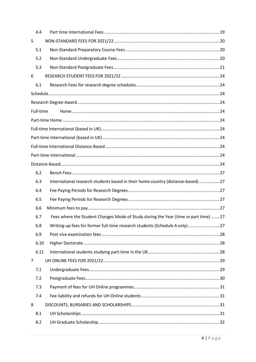|                | 4.4       |                                                                                     |  |
|----------------|-----------|-------------------------------------------------------------------------------------|--|
| 5              |           |                                                                                     |  |
|                | 5.1       |                                                                                     |  |
|                | 5.2       |                                                                                     |  |
|                | 5.3       |                                                                                     |  |
| 6              |           |                                                                                     |  |
|                | 6.1       |                                                                                     |  |
|                |           |                                                                                     |  |
|                |           |                                                                                     |  |
|                | Full-time |                                                                                     |  |
|                |           |                                                                                     |  |
|                |           |                                                                                     |  |
|                |           |                                                                                     |  |
|                |           |                                                                                     |  |
|                |           |                                                                                     |  |
|                |           |                                                                                     |  |
|                | 6.2       |                                                                                     |  |
|                | 6.3       | International research students based in their home country (distance-based) 27     |  |
|                | 6.4       |                                                                                     |  |
|                | 6.5       |                                                                                     |  |
|                | 6.6       |                                                                                     |  |
|                | 6.7       | Fees where the Student Changes Mode of Study during the Year (time or part time) 27 |  |
|                | 6.8       | Writing-up fees for former full-time research students (Schedule A only) 27         |  |
|                | 6.9       |                                                                                     |  |
|                | 6.10      |                                                                                     |  |
|                | 6.11      |                                                                                     |  |
| $\overline{7}$ |           |                                                                                     |  |
|                | 7.1       |                                                                                     |  |
|                | 7.2       |                                                                                     |  |
|                | 7.3       |                                                                                     |  |
|                | 7.4       |                                                                                     |  |
| 8              |           |                                                                                     |  |
|                | 8.1       |                                                                                     |  |
|                | 8.2       |                                                                                     |  |
|                |           |                                                                                     |  |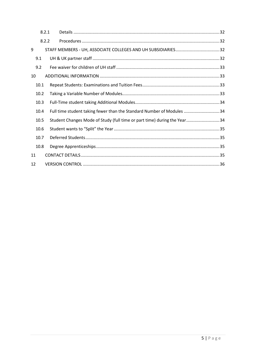|      | 8.2.1 |                                                                          |  |
|------|-------|--------------------------------------------------------------------------|--|
|      | 8.2.2 |                                                                          |  |
| 9    |       |                                                                          |  |
| 9.1  |       |                                                                          |  |
| 9.2  |       |                                                                          |  |
| 10   |       |                                                                          |  |
| 10.1 |       |                                                                          |  |
| 10.2 |       |                                                                          |  |
| 10.3 |       |                                                                          |  |
| 10.4 |       | Full time student taking fewer than the Standard Number of Modules 34    |  |
| 10.5 |       | Student Changes Mode of Study (full time or part time) during the Year34 |  |
| 10.6 |       |                                                                          |  |
| 10.7 |       |                                                                          |  |
| 10.8 |       |                                                                          |  |
| 11   |       |                                                                          |  |
| 12   |       |                                                                          |  |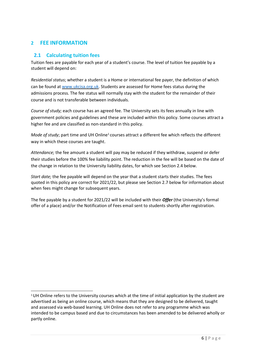# <span id="page-5-1"></span><span id="page-5-0"></span>**2 FEE INFORMATION**

# **2.1 Calculating tuition fees**

Tuition fees are payable for each year of a student's course. The level of tuition fee payable by a student will depend on:

*Residential status*; whether a student is a Home or international fee payer, the definition of which can be found at [www.ukcisa.org.uk. S](http://www.ukcisa.org.uk/)tudents are assessed for Home fees status during the admissions process. The fee status will normally stay with the student for the remainder of their course and is not transferable between individuals.

*Course of study;* each course has an agreed fee. The University sets its fees annually in line with government policies and guidelines and these are included within this policy. Some courses attract a higher fee and are classified as non-standard in this policy.

*Mode of study*; part time and UH Online<sup>1</sup> courses attract a different fee which reflects the different way in which these courses are taught.

*Attendance;* the fee amount a student will pay may be reduced if they withdraw, suspend or defer their studies before the 100% fee liability point. The reduction in the fee will be based on the date of the change in relation to the University liability dates, for which see Section 2.4 below.

*Start date;* the fee payable will depend on the year that a student starts their studies. The fees quoted in this policy are correct for 2021/22, but please see Section 2.7 below for information about when fees might change for subsequent years.

The fee payable by a student for 2021/22 will be included with their *Offer* (the University's formal offer of a place) and/or the Notification of Fees email sent to students shortly after registration.

<sup>&</sup>lt;sup>1</sup>UH Online refers to the University courses which at the time of initial application by the student are advertised as being an online course, which means that they are designed to be delivered, taught and assessed via web-based learning. UH Online does not refer to any programme which was intended to be campus based and due to circumstances has been amended to be delivered wholly or partly online.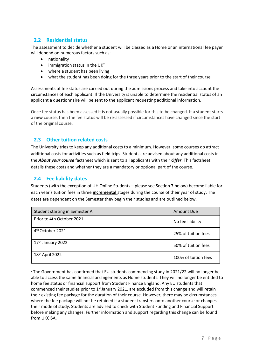# <span id="page-6-0"></span>**2.2 Residential status**

The assessment to decide whether a student will be classed as a Home or an international fee payer will depend on numerous factors such as:

- nationality
- $\bullet$  immigration status in the UK<sup>2</sup>
- where a student has been living
- what the student has been doing for the three years prior to the start of their course

Assessments of fee status are carried out during the admissions process and take into account the circumstances of each applicant. If the University is unable to determine the residential status of an applicant a questionnaire will be sent to the applicant requesting additional information.

Once fee status has been assessed it is not usually possible for this to be changed. If a student starts a **new** course, then the fee status will be re-assessed if circumstances have changed since the start of the original course.

# **2.3 Other tuition related costs**

<span id="page-6-1"></span>The University tries to keep any additional costs to a minimum. However, some courses do attract additional costs for activities such as field trips. Students are advised about any additional costs in the *About your course* factsheet which is sent to all applicants with their *Offer*. This factsheet details these costs and whether they are a mandatory or optional part of the course.

# <span id="page-6-2"></span>**2.4 Fee liability dates**

Students (with the exception of UH Online Students – please see Section 7 below) become liable for each year's tuition fees in three **incremental** stages during the course of their year of study. The dates are dependent on the Semester they begin their studies and are outlined below.

| Student starting in Semester A | <b>Amount Due</b>    |
|--------------------------------|----------------------|
| Prior to 4th October 2021      | No fee liability     |
| 4 <sup>th</sup> October 2021   | 25% of tuition fees  |
| 17 <sup>th</sup> January 2022  | 50% of tuition fees  |
| 18th April 2022                | 100% of tuition fees |

<sup>2</sup>The Government has confirmed that EU students commencing study in 2021/22 will no longer be able to access the same financial arrangements as Home students. They will no longer be entitled to home fee status or financial support from Student Finance England. Any EU students that commenced their studies prior to 1<sup>st</sup> January 2021, are excluded from this change and will retain their existing fee package for the duration of their course. However, there may be circumstances where the fee package will not be retained if a student transfers onto another course or changes their mode of study. Students are advised to check with Student Funding and Financial Support before making any changes. Further information and support regarding this change can be found from UKCISA.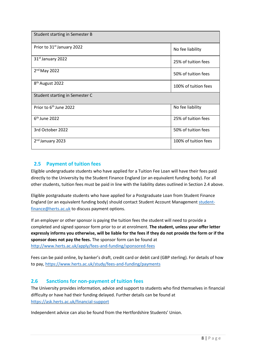| Student starting in Semester B         |                      |
|----------------------------------------|----------------------|
| Prior to 31 <sup>st</sup> January 2022 | No fee liability     |
| 31 <sup>st</sup> January 2022          | 25% of tuition fees  |
| $2nd$ May 2022                         | 50% of tuition fees  |
| 8 <sup>th</sup> August 2022            | 100% of tuition fees |
| Student starting in Semester C         |                      |
| Prior to 6 <sup>th</sup> June 2022     | No fee liability     |
| $6th$ June 2022                        | 25% of tuition fees  |
| 3rd October 2022                       | 50% of tuition fees  |
| 2 <sup>nd</sup> January 2023           | 100% of tuition fees |

# <span id="page-7-0"></span>**2.5 Payment of tuition fees**

Eligible undergraduate students who have applied for a Tuition Fee Loan will have their fees paid directly to the University by the Student Finance England (or an equivalent funding body). For all other students, tuition fees must be paid in line with the liability dates outlined in Section 2.4 above.

Eligible postgraduate students who have applied for a Postgraduate Loan from Student Finance England (or an equivalent funding body) should contact Student Account Management [student](mailto:student-finance@herts.ac.uk)[finance@herts.ac.uk](mailto:student-finance@herts.ac.uk) to discuss payment options.

If an employer or other sponsor is paying the tuition fees the student will need to provide a completed and signed sponsor form prior to or at enrolment. **The student, unless your offer letter expressly informs you otherwise, will be liable for the fees if they do not provide the form or if the sponsor does not pay the fees.** The sponsor form can be found at <http://www.herts.ac.uk/apply/fees-and-funding/sponsored-fees>

Fees can be paid online, by banker's draft, credit card or debit card (GBP sterling). For details of how to pay,<https://www.herts.ac.uk/study/fees-and-funding/payments>

# <span id="page-7-1"></span>**2.6 Sanctions for non-payment of tuition fees**

The University provides information, advice and support to students who find themselves in financial difficulty or have had their funding delayed. Further details can be found at <https://ask.herts.ac.uk/financial-support>

Independent advice can also be found from the Hertfordshire Students' Union.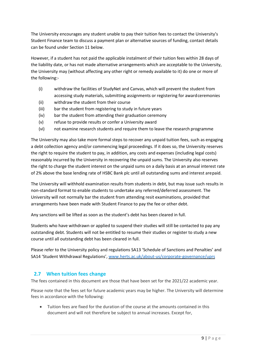The University encourages any student unable to pay their tuition fees to contact the University's Student Finance team to discuss a payment plan or alternative sources of funding, contact details can be found under Section 11 below.

However, if a student has not paid the applicable instalment of their tuition fees within 28 days of the liability date, or has not made alternative arrangements which are acceptable to the University, the University may (without affecting any other right or remedy available to it) do one or more of the following:-

- (i) withdraw the facilities of StudyNet and Canvas, which will prevent the student from accessing study materials, submitting assignments or registering for awardceremonies
- (ii) withdraw the student from their course
- (iii) bar the student from registering to study in future years
- (iv) bar the student from attending their graduation ceremony
- (v) refuse to provide results or confer a University award
- (vi) not examine research students and require them to leave the research programme

The University may also take more formal steps to recover any unpaid tuition fees, such as engaging a debt collection agency and/or commencing legal proceedings. If it does so, the University reserves the right to require the student to pay, in addition, any costs and expenses (including legal costs) reasonably incurred by the University in recovering the unpaid sums. The University also reserves the right to charge the student interest on the unpaid sums on a daily basis at an annual interest rate of 2% above the base lending rate of HSBC Bank plc until all outstanding sums and interest arepaid.

The University will withhold examination results from students in debt, but may issue such results in non-standard format to enable students to undertake any referred/deferred assessment. The University will not normally bar the student from attending resit examinations, provided that arrangements have been made with Student Finance to pay the fee or other debt.

Any sanctions will be lifted as soon as the student's debt has been cleared in full.

Students who have withdrawn or applied to suspend their studies will still be contacted to pay any outstanding debt. Students will not be entitled to resume their studies or register to study a new course until all outstanding debt has been cleared in full.

Please refer to the University policy and regulations SA13 'Schedule of Sanctions and Penalties' and SA14 'Student Withdrawal Regulations', [www.herts.ac.uk/about-us/corporate-governance/uprs](http://www.herts.ac.uk/about-us/corporate-governance/uprs)

# <span id="page-8-0"></span>**2.7 When tuition fees change**

The fees contained in this document are those that have been set for the 2021/22 academic year.

Please note that the fees set for future academic years may be higher. The University will determine fees in accordance with the following:

• Tuition fees are fixed for the duration of the course at the amounts contained in this document and will not therefore be subject to annual increases. Except for,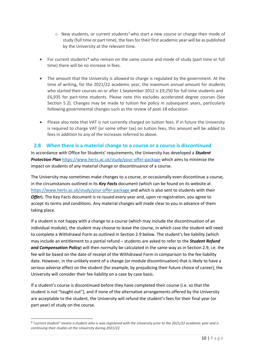- $\circ$  New students, or current students<sup>3</sup> who start a new course or change their mode of study (full time or part time), the fees for their first academic year will be as published by the University at the relevant time.
- For current students\* who remain on the same course and mode of study (part time or full time) there will be no increase in fees.
- The amount that the University is allowed to charge is regulated by the government. At the time of writing, for the 2021/22 academic year, the maximum annual amount for students who started their courses on or after 1 September 2012 is £9,250 for full-time students and £6,935 for part-time students. Please note this excludes accelerated degree courses (See Section 5.2). Changes may be made to tuition fee policy in subsequent years, particularly following governmental changes such as the review of post-18 education.
- Please also note that VAT is not currently charged on tuition fees. If in future the University is required to charge VAT (or some other tax) on tuition fees, this amount will be added to fees in addition to any of the increases referred to above.

#### <span id="page-9-0"></span>**2.8 When there is a material change to a course or a course is discontinued**

In accordance with Office for Students' requirements, the University has developed a *Student Protection Plan* <https://www.herts.ac.uk/study/your-offer-package> which aims to minimise the impact on students of any material change or discontinuance of a course.

The University may sometimes make changes to a course, or occasionally even discontinue a course, in the circumstances outlined in its *Key Facts* document (which can be found on its website at [https://www.herts.ac.uk/study/your-offer-package a](https://www.herts.ac.uk/study/your-offer-package)nd which is also sent to students with their *Offer*). The Key Facts document is re-issued every year and, upon re-registration, you agree to accept its terms and conditions. Any material changes will made clear to you in advance of them taking place.

If a student is not happy with a change to a course (which may include the discontinuation of an individual module), the student may choose to leave the course, in which case the student will need to complete a Withdrawal Form as outlined in Section 2.9 below. The student's fee liability (which may include an entitlement to a partial refund – students are asked to refer to the *Student Refund and Compensation Policy*) will then normally be calculated in the same way as in Section 2.9, i.e. the fee will be based on the date of receipt of the Withdrawal Form in comparison to the fee liability date. However, in the unlikely event of a change (or module discontinuation) that is likely to have a serious adverse effect on the student (for example, by prejudicing their future choice of career), the University will consider their fee liability on a case by case basis.

If a student's course is discontinued before they have completed their course (i.e. so that the student is not "taught out"), and if none of the alternative arrangements offered by the University are acceptable to the student, the University will refund the student's fees for their final year (or part year) of study on the course.

<sup>3</sup>*"current student" means a student who is was registered with the University prior to the 2021/22 academic year and is continuing their studies at the University during 2021/22.*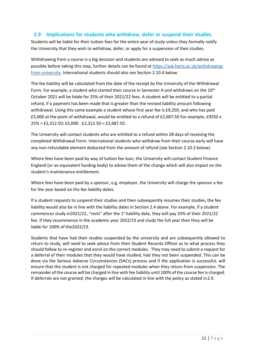# **2.9 Implications for students who withdraw, defer or suspend their studies.**

<span id="page-10-0"></span>Students will be liable for their tuition fees for the entire year of study unless they formally notify the University that they wish to withdraw, defer, or apply for a suspension of theirstudies.

Withdrawing from a course is a big decision and students are advised to seek as much advice as possible before taking this step, further details can be found at [https://ask.herts.ac.uk/withdrawing](https://ask.herts.ac.uk/withdrawing-from-university)[from-university.](https://ask.herts.ac.uk/withdrawing-from-university) International students should also see Section 2.10.4 below.

The fee liability will be calculated from the date of the receipt by the University of the Withdrawal Form. For example, a student who started their course in Semester A and withdraws on the 10<sup>th</sup> October 2021 will be liable for 25% of their 2021/22 fees. A student will be entitled to a partial refund, if a payment has been made that is greater than the revised liability amount following withdrawal. Using this same example a student whose first year fee is £9,250, and who has paid £5,000 at the point of withdrawal, would be entitled to a refund of £2,687.50 For example, £9250 x 25% = £2,312.50; £5,000 - £2,312.50 = £2,687.50.

The University will contact students who are entitled to a refund within 28 days of receiving the completed Withdrawal Form. International students who withdraw from their course early will have any non-refundable element deducted from the amount of refund (see Section 2.10.3 below).

Where fees have been paid by way of tuition fee loan, the University will contact Student Finance England (or an equivalent funding body) to advise them of the change which will also impact on the student's maintenance entitlement.

Where fees have been paid by a sponsor, e.g. employer, the University will charge the sponsor a fee for the year based on the fee liability dates.

If a student requests to suspend their studies and then subsequently resumes their studies, the fee liability would also be in line with the liability dates in Section 2.4 above. For example, if a student commences study in2021/22, "rests" after the 1st liability date, they will pay 25% of their 2021/22 fee. If they recommence in the academic year 2022/23 and study the full year then they will be liable for 100% of the2022/23.

Students that have had their studies suspended by the university and are subsequently allowed to return to study, will need to seek advice from their Student Records Officer as to what process they should follow to re-register and enrol on the correct modules. They may need to submit a request for a deferral of their modules that they would have studied, had they not been suspended. This can be done via the Serious Adverse Circumstances (SACs) process and if the application is successful, will ensure that the student is not charged for repeated modules when they return from suspension. The remainder of the course will be charged in line with fee liability until 100% of the course fee is charged. If deferrals are not granted, the charges will be calculated in line with the policy as stated in2.9.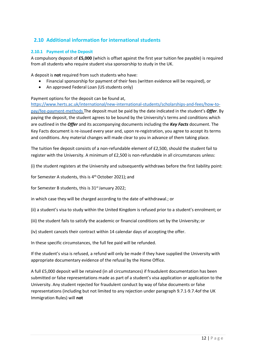# <span id="page-11-0"></span>**2.10 Additional information for international students**

#### <span id="page-11-1"></span>**2.10.1 Payment of the Deposit**

A compulsory deposit of **£5,000** (which is offset against the first year tuition fee payable) is required from all students who require student visa sponsorship to study in the UK.

A deposit is **not** required from such students who have:

- Financial sponsorship for payment of their fees (written evidence will be required), or
- An approved Federal Loan (US students only)

Payment options for the deposit can be found at,

[https://www.herts.ac.uk/international/new-international-students/scholarships-and-fees/how-to](https://www.herts.ac.uk/international/new-international-students/scholarships-and-fees/how-to-pay/fee-payment-methods)[pay/fee-payment-methods](https://www.herts.ac.uk/international/new-international-students/scholarships-and-fees/how-to-pay/fee-payment-methods) The deposit must be paid by the date indicated in the student's *Offer*. By paying the deposit, the student agrees to be bound by the University's terms and conditions which are outlined in the *Offer* and its accompanying documents including the *Key Facts* document. The Key Facts document is re-issued every year and, upon re-registration, you agree to accept its terms and conditions. Any material changes will made clear to you in advance of them taking place.

The tuition fee deposit consists of a non-refundable element of £2,500, should the student fail to register with the University. A minimum of £2,500 is non-refundable in all circumstances unless:

(i) the student registers at the University and subsequently withdraws before the first liability point:

for Semester A students, this is 4<sup>th</sup> October 2021); and

for Semester B students, this is 31<sup>st</sup> January 2022;

in which case they will be charged according to the date of withdrawal.; or

- (ii) a student's visa to study within the United Kingdom is refused prior to a student's enrolment; or
- (iii) the student fails to satisfy the academic or financial conditions set by the University; or
- (iv) student cancels their contract within 14 calendar days of accepting the offer.

In these specific circumstances, the full fee paid will be refunded.

If the student's visa is refused, a refund will only be made if they have supplied the University with appropriate documentary evidence of the refusal by the Home Office.

A full £5,000 deposit will be retained (in all circumstances) if fraudulent documentation has been submitted or false representations made as part of a student's visa application or application to the University. Any student rejected for fraudulent conduct by way of false documents or false representations (including but not limited to any rejection under paragraph 9.7.1-9.7.4of the UK Immigration Rules) will **not**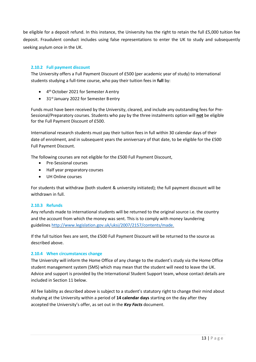be eligible for a deposit refund. In this instance, the University has the right to retain the full £5,000 tuition fee deposit. Fraudulent conduct includes using false representations to enter the UK to study and subsequently seeking asylum once in the UK.

#### <span id="page-12-0"></span>**2.10.2 Full payment discount**

The University offers a Full Payment Discount of £500 (per academic year of study) to international students studying a full-time course, who pay their tuition fees in **full** by:

- 4 th October 2021 for Semester A entry
- 31<sup>st</sup> January 2022 for Semester Bentry

Funds must have been received by the University, cleared, and include any outstanding fees for Pre-Sessional/Preparatory courses. Students who pay by the three instalments option will **not** be eligible for the Full Payment Discount of £500.

International research students must pay their tuition fees in full within 30 calendar days of their date of enrolment, and in subsequent years the anniversary of that date, to be eligible for the £500 Full Payment Discount.

The following courses are not eligible for the £500 Full Payment Discount,

- Pre-Sessional courses
- Half year preparatory courses
- <span id="page-12-1"></span>• UH Online courses

For students that withdraw (both student & university initiated); the full payment discount will be withdrawn in full.

#### **2.10.3 Refunds**

Any refunds made to international students will be returned to the original source i.e. the country and the account from which the money was sent. This is to comply with money laundering guidelines [http://www.legislation.gov.uk/uksi/2007/2157/contents/made.](http://www.legislation.gov.uk/uksi/2007/2157/contents/made)

If the full tuition fees are sent, the £500 Full Payment Discount will be returned to the source as described above.

#### <span id="page-12-2"></span>**2.10.4 When circumstances change**

The University will inform the Home Office of any change to the student's study via the Home Office student management system (SMS) which may mean that the student will need to leave the UK. Advice and support is provided by the International Student Support team, whose contact details are included in Section 11 below.

All fee liability as described above is subject to a student's statutory right to change their mind about studying at the University within a period of **14 calendar days** starting on the day after they accepted the University's offer, as set out in the *Key Facts* document.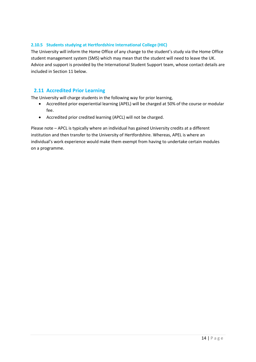#### <span id="page-13-0"></span>**2.10.5 Students studying at Hertfordshire International College (HIC)**

The University will inform the Home Office of any change to the student's study via the Home Office student management system (SMS) which may mean that the student will need to leave the UK. Advice and support is provided by the International Student Support team, whose contact details are included in Section 11 below.

#### <span id="page-13-1"></span>**2.11 Accredited Prior Learning**

The University will charge students in the following way for prior learning,

- Accredited prior experiential learning (APEL) will be charged at 50% of the course or modular fee.
- Accredited prior credited learning (APCL) will not be charged.

Please note – APCL is typically where an individual has gained University credits at a different institution and then transfer to the University of Hertfordshire. Whereas, APEL is where an individual's work experience would make them exempt from having to undertake certain modules on a programme.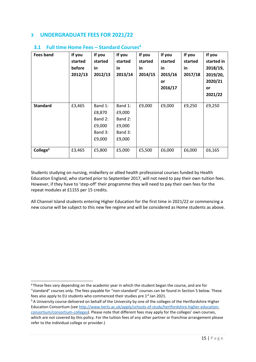# <span id="page-14-1"></span><span id="page-14-0"></span>**3 UNDERGRADUATE FEES FOR 2021/22**

| <b>Fees band</b>     | If you<br>started<br><b>before</b><br>2012/13 | If you<br>started<br>in<br>2012/13                          | If you<br>started<br>in.<br>2013/14                         | If you<br>started<br>in<br>2014/15 | If you<br>started<br>in<br>2015/16<br><b>or</b><br>2016/17 | If you<br>started<br>in<br>2017/18 | If you<br>started in<br>2018/19,<br>2019/20,<br>2020/21<br>or<br>2021/22 |
|----------------------|-----------------------------------------------|-------------------------------------------------------------|-------------------------------------------------------------|------------------------------------|------------------------------------------------------------|------------------------------------|--------------------------------------------------------------------------|
| <b>Standard</b>      | £3,465                                        | Band 1:<br>£8,870<br>Band 2:<br>£9,000<br>Band 3:<br>£9,000 | Band 1:<br>£9,000<br>Band 2:<br>£9,000<br>Band 3:<br>£9,000 | £9,000                             | £9,000                                                     | £9,250                             | £9,250                                                                   |
| College <sup>5</sup> | £3,465                                        | £5,800                                                      | £5,000                                                      | £5,500                             | £6,000                                                     | £6,000                             | £6,165                                                                   |

# **3.1 Full time Home Fees – Standard Courses<sup>4</sup>**

Students studying on nursing, midwifery or allied health professional courses funded by Health Education England, who started prior to September 2017, will not need to pay their own tuition fees. However, if they have to 'step-off' their programme they will need to pay their own fees for the repeat modules at £1155 per 15 credits.

All Channel Island students entering Higher Education for the first time in 2021/22 or commencing a new course will be subject to this new fee regime and will be considered as Home students as above.

<sup>4</sup>These fees vary depending on the academic year in which the student began the course, and are for "standard" courses only. The fees payable for "non-standard" courses can be found in Section 5 below. These fees also apply to EU students who commenced their studies pre 1<sup>st</sup> Jan 2021.

<sup>&</sup>lt;sup>5</sup> A University course delivered on behalf of the University by one of the colleges of the Hertfordshire Higher Education Consortium (se[e http://www.herts.ac.uk/apply/schools-of-study/hertfordshire-higher-education](http://www.herts.ac.uk/apply/schools-of-study/hertfordshire-higher-education-consortium/consortium-colleges)[consortium/consortium-colleges](http://www.herts.ac.uk/apply/schools-of-study/hertfordshire-higher-education-consortium/consortium-colleges)). Please note that different fees may apply for the colleges' own courses,

which are not covered by this policy. For the tuition fees of any other partner or franchise arrangement please refer to the individual college or provider.)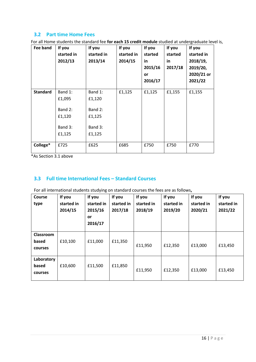# <span id="page-15-0"></span>**3.2 Part time Home Fees**

For all Home students the standard fee **for each 15 credit module** studied at undergraduate level is,

| Fee band        | If you<br>started in<br>2012/13        | If you<br>started in<br>2013/14        | If you<br>started in<br>2014/15 | If you<br>started<br>in<br>2015/16<br>or<br>2016/17 | If you<br>started<br>in<br>2017/18 | If you<br>started in<br>2018/19,<br>2019/20,<br>2020/21 or<br>2021/22 |
|-----------------|----------------------------------------|----------------------------------------|---------------------------------|-----------------------------------------------------|------------------------------------|-----------------------------------------------------------------------|
| <b>Standard</b> | Band 1:<br>£1,095                      | Band 1:<br>£1,120                      | £1,125                          | £1,125                                              | £1,155                             | £1,155                                                                |
|                 | Band 2:<br>£1,120<br>Band 3:<br>£1,125 | Band 2:<br>£1,125<br>Band 3:<br>£1,125 |                                 |                                                     |                                    |                                                                       |
| College*        | £725                                   | £625                                   | £685                            | £750                                                | £750                               | £770                                                                  |

\*As Section 3.1 above

# <span id="page-15-1"></span>**3.3 Full time International Fees – Standard Courses**

<span id="page-15-2"></span>For all international students studying on standard courses the fees are as follows**,**

| <b>Course</b><br>type          | If you<br>started in<br>2014/15 | If you<br>started in<br>2015/16<br>or<br>2016/17 | If you<br>started in<br>2017/18 | If you<br>started in<br>2018/19 | If you<br>started in<br>2019/20 | If you<br>started in<br>2020/21 | If you<br>started in<br>2021/22 |
|--------------------------------|---------------------------------|--------------------------------------------------|---------------------------------|---------------------------------|---------------------------------|---------------------------------|---------------------------------|
| Classroom<br>based<br>courses  | £10,100                         | £11,000                                          | £11,350                         | £11,950                         | £12,350                         | £13,000                         | £13,450                         |
| Laboratory<br>based<br>courses | £10,600                         | £11,500                                          | £11,850                         | £11,950                         | £12,350                         | £13,000                         | £13,450                         |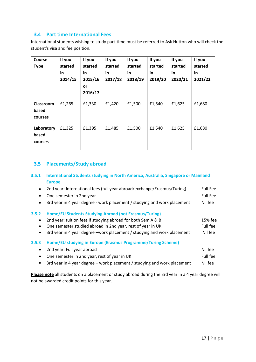# <span id="page-16-0"></span>**3.4 Part time International Fees**

International students wishing to study part-time must be referred to Ask Hutton who will check the student's visa and fee position.

| <b>Course</b><br><b>Type</b>   | If you<br>started<br>in<br>2014/15 | If you<br>started<br>in<br>2015/16<br>or<br>2016/17 | If you<br>started<br>in<br>2017/18 | If you<br>started<br>in<br>2018/19 | If you<br>started<br>in<br>2019/20 | If you<br>started<br>in<br>2020/21 | If you<br>started<br>in<br>2021/22 |
|--------------------------------|------------------------------------|-----------------------------------------------------|------------------------------------|------------------------------------|------------------------------------|------------------------------------|------------------------------------|
| Classroom<br>based<br>courses  | £1,265                             | £1,330                                              | £1,420                             | £1,500                             | £1,540                             | £1,625                             | £1,680                             |
| Laboratory<br>based<br>courses | £1,325                             | £1,395                                              | £1,485                             | £1,500                             | £1,540                             | £1,625                             | £1,680                             |

# <span id="page-16-1"></span>**3.5 Placements/Study abroad**

#### <span id="page-16-2"></span>**3.5.1 International Students studying in North America, Australia, Singapore or Mainland Europe**

<span id="page-16-3"></span>

|           | 2nd year: International fees (full year abroad/exchange/Erasmus/Turing)  | <b>Full Fee</b> |
|-----------|--------------------------------------------------------------------------|-----------------|
| $\bullet$ | One semester in 2nd year                                                 | <b>Full Fee</b> |
| $\bullet$ | 3rd year in 4 year degree - work placement / studying and work placement | Nil fee         |
| 3.5.2     | Home/EU Students Studying Abroad (not Erasmus/Turing)                    |                 |
| $\bullet$ | 2nd year: tuition fees if studying abroad for both Sem A & B             | 15% fee         |
| $\bullet$ | One semester studied abroad in 2nd year, rest of year in UK              | Full fee        |
| $\bullet$ | 3rd year in 4 year degree -work placement / studying and work placement  | Nil fee         |
| 3.5.3     | Home/EU studying in Europe (Erasmus Programme/Turing Scheme)             |                 |
| $\bullet$ | 2nd year: Full year abroad                                               | Nil fee         |
| $\bullet$ | One semester in 2nd year, rest of year in UK                             | Full fee        |
| $\bullet$ | 3rd year in 4 year degree - work placement / studying and work placement | Nil fee         |

<span id="page-16-4"></span>**Please note** all students on a placement or study abroad during the 3rd year in a 4 year degree will not be awarded credit points for this year.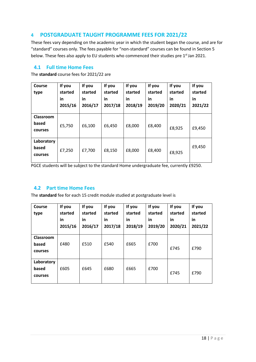# <span id="page-17-0"></span>**4 POSTGRADUATE TAUGHT PROGRAMME FEES FOR 2021/22**

These fees vary depending on the academic year in which the student began the course, and are for "standard" courses only. The fees payable for "non-standard" courses can be found in Section 5 below. These fees also apply to EU students who commenced their studies pre 1<sup>st</sup> Jan 2021.

#### <span id="page-17-1"></span>**4.1 Full time Home Fees**

The **standard** course fees for 2021/22 are

| Course<br>type                 | If you<br>started<br>in<br>2015/16 | If you<br>started<br>in<br>2016/17 | If you<br>started<br>in<br>2017/18 | If you<br>started<br>in<br>2018/19 | If you<br>started<br>in<br>2019/20 | If you<br>started<br>in<br>2020/21 | If you<br>started<br>in<br>2021/22 |
|--------------------------------|------------------------------------|------------------------------------|------------------------------------|------------------------------------|------------------------------------|------------------------------------|------------------------------------|
| Classroom<br>based<br>courses  | £5,750                             | £6,100                             | £6,450                             | £8,000                             | £8,400                             | £8,925                             | £9,450                             |
| Laboratory<br>based<br>courses | £7,250                             | £7,700                             | £8,150                             | £8,000                             | £8,400                             | £8,925                             | £9,450                             |

PGCE students will be subject to the standard Home undergraduate fee, currently £9250.

# **4.2 Part time Home Fees**

<span id="page-17-2"></span>The **standard** fee for each 15 credit module studied at postgraduate level is

| <b>Course</b><br>type          | If you<br>started<br>in<br>2015/16 | If you<br>started<br>in<br>2016/17 | If you<br>started<br>in<br>2017/18 | If you<br>started<br>in<br>2018/19 | If you<br>started<br>in<br>2019/20 | If you<br>started<br>in<br>2020/21 | If you<br>started<br>in<br>2021/22 |
|--------------------------------|------------------------------------|------------------------------------|------------------------------------|------------------------------------|------------------------------------|------------------------------------|------------------------------------|
| Classroom<br>based<br>courses  | £480                               | £510                               | £540                               | £665                               | £700                               | £745                               | £790                               |
| Laboratory<br>based<br>courses | £605                               | £645                               | £680                               | £665                               | £700                               | £745                               | £790                               |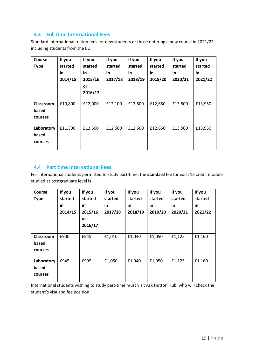# <span id="page-18-0"></span>**4.3 Full time International Fees**

Standard international tuition fees for new students or those entering a new course in 2021/22, including students from the EU.

| <b>Course</b><br><b>Type</b>   | If you<br>started<br>in.<br>2014/15 | If you<br>started<br>in<br>2015/16<br>or<br>2016/17 | If you<br>started<br>in<br>2017/18 | If you<br>started<br>in<br>2018/19 | If you<br>started<br>in<br>2019/20 | If you<br>started<br>in<br>2020/21 | If you<br>started<br>in<br>2021/22 |
|--------------------------------|-------------------------------------|-----------------------------------------------------|------------------------------------|------------------------------------|------------------------------------|------------------------------------|------------------------------------|
| Classroom<br>based<br>courses  | £10,800                             | £12,000                                             | £12,100                            | £12,500                            | £12,650                            | £13,500                            | £13,950                            |
| Laboratory<br>based<br>courses | £11,300                             | £12,500                                             | £12,600                            | £12,500                            | £12,650                            | £13,500                            | £13,950                            |

# **4.4 Part time International Fees**

<span id="page-18-1"></span>For International students permitted to study part-time, the **standard** fee for each 15 credit module studied at postgraduate level is

| Course<br><b>Type</b>          | If you<br>started<br>in<br>2014/15 | If you<br>started<br>in<br>2015/16<br>or<br>2016/17 | If you<br>started<br>in<br>2017/18 | If you<br>started<br>in<br>2018/19 | If you<br>started<br>in<br>2019/20 | If you<br>started<br>in<br>2020/21 | If you<br>started<br>in<br>2021/22 |
|--------------------------------|------------------------------------|-----------------------------------------------------|------------------------------------|------------------------------------|------------------------------------|------------------------------------|------------------------------------|
| Classroom<br>based<br>courses  | £900                               | £945                                                | £1,010                             | £1,040                             | £1,050                             | £1,125                             | £1,160                             |
| Laboratory<br>based<br>courses | £945                               | £995                                                | £1,050                             | £1,040                             | £1,050                             | £1,125                             | £1,160                             |

International students wishing to study part-time must visit Ask Hutton Hub, who will check the student's visa and fee position.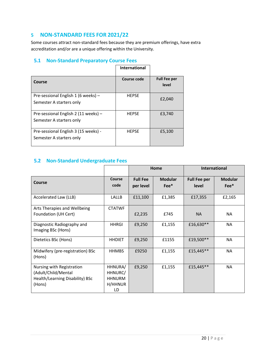# <span id="page-19-0"></span>**5 NON-STANDARD FEES FOR 2021/22**

Some courses attract non-standard fees because they are premium offerings, have extra accreditation and/or are a unique offering within the University.

# <span id="page-19-1"></span>**5.1 Non-Standard Preparatory Course Fees**

|                                                                  | <b>International</b> |                              |
|------------------------------------------------------------------|----------------------|------------------------------|
| Course                                                           | Course code          | <b>Full Fee per</b><br>level |
| Pre-sessional English 1 (6 weeks) -<br>Semester A starters only  | <b>HEPSE</b>         | £2,040                       |
| Pre-sessional English 2 (11 weeks) -<br>Semester A starters only | <b>HEPSE</b>         | £3,740                       |
| Pre-sessional English 3 (15 weeks) -<br>Semester A starters only | <b>HEPSE</b>         | £5,100                       |

# **5.2 Non-Standard Undergraduate Fees**

<span id="page-19-2"></span>

|                                                  |               |                 | Home           | <b>International</b> |                |
|--------------------------------------------------|---------------|-----------------|----------------|----------------------|----------------|
| Course                                           | Course        | <b>Full Fee</b> | <b>Modular</b> | <b>Full Fee per</b>  | <b>Modular</b> |
|                                                  | code          | per level       | $Fee*$         | level                | $Fee*$         |
| Accelerated Law (LLB)                            | <b>LALLB</b>  | £11,100         | £1,385         | £17,355              | £2,165         |
| Arts Therapies and Wellbeing                     | <b>CTATWF</b> |                 |                |                      |                |
| Foundation (UH Cert)                             |               | £2,235          | £745           | <b>NA</b>            | NA.            |
| Diagnostic Radiography and<br>Imaging BSc (Hons) | HHRGI         | £9,250          | £1,155         | £16,630**            | NA             |
| Dietetics BSc (Hons)                             | <b>HHDIET</b> | £9,250          | £1155          | £19,500**            | NA             |
| Midwifery (pre-registration) BSc<br>(Hons)       | <b>HHMBS</b>  | £9250           | £1,155         | £15,445**            | NA             |
| Nursing with Registration                        | HHNURA/       | £9,250          | £1,155         | £15,445**            | NA             |
| (Adult/Child/Mental                              | HHNURC/       |                 |                |                      |                |
| Health/Learning Disability) BSc                  | <b>HHNURM</b> |                 |                |                      |                |
| (Hons)                                           | H/HHNUR       |                 |                |                      |                |
|                                                  | LD            |                 |                |                      |                |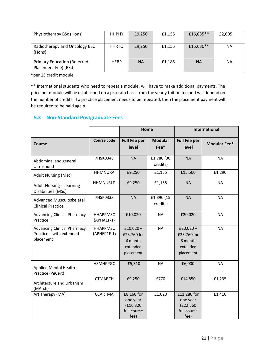| Physiotherapy BSc (Hons)                                   | <b>HHPHY</b> | £9,250    | £1,155 | £16,035** | £2,005 |
|------------------------------------------------------------|--------------|-----------|--------|-----------|--------|
| Radiotherapy and Oncology BSc<br>(Hons)                    | <b>HHRTO</b> | £9,250    | £1,155 | £16,630** | ΝA     |
| <b>Primary Education (Referred</b><br>Placement Fee) (BEd) | <b>HEBP</b>  | <b>NA</b> | £1,185 | <b>NA</b> | NA.    |

\*per 15 credit module

\*\* International students who need to repeat a module, will have to make additional payments. The price per module will be established on a pro-rata basis from the yearly tuition fee and will depend on the number of credits. If a practice placement needs to be repeated, then the placement payment will be required to be paid again.

# <span id="page-20-0"></span>**5.3 Non-Standard Postgraduate Fees**

|                                                                             |                                  | Home                                                          |                          |                                                               | <b>International</b> |
|-----------------------------------------------------------------------------|----------------------------------|---------------------------------------------------------------|--------------------------|---------------------------------------------------------------|----------------------|
| <b>Course</b>                                                               | <b>Course code</b>               | <b>Full Fee per</b><br>level                                  | <b>Modular</b><br>$Fee*$ | <b>Full Fee per</b><br>level                                  | <b>Modular Fee*</b>  |
| Abdominal and general<br>Ultrasound                                         | 7HSK0348                         | <b>NA</b>                                                     | £1,780 (30<br>credits)   | <b>NA</b>                                                     | <b>NA</b>            |
| <b>Adult Nursing (Msc)</b>                                                  | <b>HHMNURA</b>                   | £9,250                                                        | £1,155                   | £15,500                                                       | £1,290               |
| <b>Adult Nursing - Learning</b><br>Disabilities (MSc)                       | <b>HHMNURLD</b>                  | £9,250                                                        | £1,155                   | <b>NA</b>                                                     | <b>NA</b>            |
| Advanced Musculoskeletal<br><b>Clinical Practice</b>                        | 7HSK0333                         | <b>NA</b>                                                     | £1,390 (15<br>credits)   | <b>NA</b>                                                     | <b>NA</b>            |
| <b>Advancing Clinical Pharmacy</b><br>Practice                              | <b>HHAPPMSC</b><br>$(APHA1F-1)$  | £10,020                                                       | <b>NA</b>                | £20,020                                                       | <b>NA</b>            |
| <b>Advancing Clinical Pharmacy</b><br>Practice - with extended<br>placement | <b>HHAPPMSC</b><br>$(APHEP1F-1)$ | $£10,020+$<br>£23,760 for<br>6 month<br>extended<br>placement | <b>NA</b>                | $£20,020+$<br>£23,760 for<br>6 month<br>extended<br>placement | <b>NA</b>            |
| <b>Applied Mental Health</b><br>Practice (PgCert)                           | <b>HSMHPPGC</b>                  | £5,310                                                        | <b>NA</b>                | £6,000                                                        | <b>NA</b>            |
| Architecture and Urbanism<br>(MArch)                                        | <b>CTMARCH</b>                   | £9,250                                                        | £770                     | £14,850                                                       | £1,235               |
| Art Therapy (MA)                                                            | <b>CCARTMA</b>                   | £8,160 for<br>one year<br>(E16, 320)<br>full course<br>fee)   | £1,020                   | £11,280 for<br>one year<br>(E22,560)<br>full course<br>fee)   | £1,410               |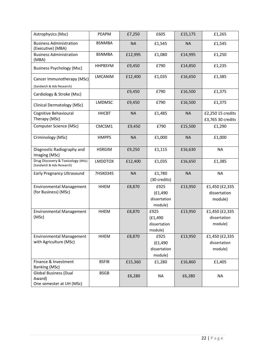| Astrophysics (Msc)                                             | PEAPM          | £7,250    | £605                   | £15,175   | £1,265            |
|----------------------------------------------------------------|----------------|-----------|------------------------|-----------|-------------------|
| <b>Business Administration</b><br>(Executive) (MBA)            | <b>BSNMBA</b>  | <b>NA</b> | £1,545                 | <b>NA</b> | £1,545            |
| <b>Business Administration</b><br>(MBA)                        | <b>BSNMBA</b>  | £12,995   | £1,080                 | £14,995   | £1,250            |
| <b>Business Psychology (Msc)</b>                               | <b>HHPBSYM</b> | £9,450    | £790                   | £14,850   | £1,235            |
| Cancer Immunotherapy (MSc)                                     | LMCANIM        | £12,400   | £1,035                 | £16,650   | £1,385            |
| (Sandwich & Adv Research)                                      |                |           |                        |           |                   |
| Cardiology & Stroke (Msc)                                      |                | £9,450    | £790                   | £16,500   | £1,375            |
| Clinical Dermatology (MSc)                                     | <b>LMDMSC</b>  | £9,450    | £790                   | £16,500   | £1,375            |
| Cognitive Behavioural                                          | <b>HHCBT</b>   | <b>NA</b> | £1,485                 | <b>NA</b> | £2,250 15 credits |
| Therapy (MSc)                                                  |                |           |                        |           | £3,765 30 credits |
| Computer Science (MSc)                                         | CMCSM1         | £9,450    | £790                   | £15,500   | £1,290            |
| Criminology (MSc)                                              | <b>HMPPS</b>   | <b>NA</b> | £1,000                 | <b>NA</b> | £1,000            |
| Diagnostic Radiography and<br>Imaging (MSc)                    | <b>HSRGIM</b>  | £9,250    | £1,115                 | £16,630   | <b>NA</b>         |
| Drug Discovery & Toxicology (MSc)<br>(Sandwich & Adv Research) | <b>LMDDTOX</b> | £12,400   | £1,035                 | £16,650   | £1,385            |
| <b>Early Pregnancy Ultrasound</b>                              | 7HSK0345       | <b>NA</b> | £1,780<br>(30 credits) | <b>NA</b> | <b>NA</b>         |
| <b>Environmental Management</b>                                | <b>HHEM</b>    | £8,870    | £925                   | £13,950   | £1,450 (£2,335    |
| (for Business) (MSc)                                           |                |           |                        |           |                   |
|                                                                |                |           | (E1, 490)              |           | dissertation      |
|                                                                |                |           | dissertation           |           | module)           |
|                                                                |                |           | module)                |           |                   |
| <b>Environmental Management</b>                                | <b>HHEM</b>    | £8,870    | £925                   | £13,950   | £1,450 (£2,335    |
| (MSc)                                                          |                |           | (E1, 490)              |           | dissertation      |
|                                                                |                |           | dissertation           |           | module)           |
|                                                                |                |           | module)                |           |                   |
| <b>Environmental Management</b>                                | <b>HHEM</b>    | £8,870    | £925                   | £13,950   | £1,450 (£2,335    |
| with Agriculture (MSc)                                         |                |           | (E1, 490)              |           | dissertation      |
|                                                                |                |           | dissertation           |           | module)           |
|                                                                |                |           | module)                |           |                   |
| Finance & Investment                                           | <b>BSFIB</b>   | £15,360   | £1,280                 | £16,860   | £1,405            |
| Banking (MSc)                                                  |                |           |                        |           |                   |
| <b>Global Business (Dual</b>                                   | <b>BSGB</b>    |           |                        |           |                   |
| Award)                                                         |                | £6,280    | <b>NA</b>              | £6,280    | <b>NA</b>         |
| One semester at UH (MSc)                                       |                |           |                        |           |                   |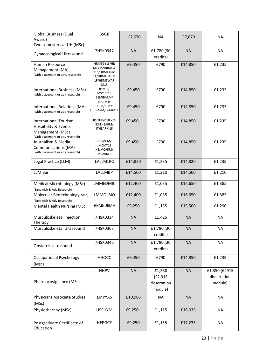| <b>Global Business (Dual</b>                                     | <b>BSGB</b>                  | £7,670    | <b>NA</b>    | £7,670    | <b>NA</b>     |
|------------------------------------------------------------------|------------------------------|-----------|--------------|-----------|---------------|
| Award)                                                           |                              |           |              |           |               |
| Two semesters at UH (MSc)                                        |                              |           |              |           |               |
| <b>Gynaecological Ultrasound</b>                                 | 7HSK0347                     | <b>NA</b> | £1,780 (30   | <b>NA</b> | <b>NA</b>     |
|                                                                  |                              |           | credits)     |           |               |
| Human Resource                                                   | HRMTGY1S/HR                  | £9,450    | £790         | £14,850   | £1,235        |
| Management (MA)                                                  | MTY1S/HRMTW                  |           |              |           |               |
| (with placement or adv. research)                                | Y1S/HRMTARM<br>1F/HRMTGARM   |           |              |           |               |
|                                                                  | 1F/HRMTWAR                   |           |              |           |               |
|                                                                  | M1F<br>BSMIB/                |           |              |           |               |
| International Business (MSc)<br>(with placement or adv research) | MSCIBY1S                     | £9,450    | £790         | £14,850   | £1,235        |
|                                                                  | BSMIBARM/                    |           |              |           |               |
| International Relations (MA)                                     | IBARM1F<br>HUIRM/IRMY1S      | £9,450    | £790         | £14,850   | £1,235        |
| (with placement or adv research)                                 | HUIRARM/IRAAM1F              |           |              |           |               |
|                                                                  |                              |           |              |           |               |
| International Tourism,                                           | BSITHE/ITHEY1S<br>BSITHEARM/ | £9,450    | £790         | £14,850   | £1,235        |
| Hospitality & Events                                             | ITHEARM1F                    |           |              |           |               |
| Management (MSc)                                                 |                              |           |              |           |               |
| (with placement or adv research)<br>Journalism & Media           | HEJMCM/                      | £9,450    | £790         | £14,850   | £1,235        |
| <b>Communications (MA)</b>                                       | JMCMY1S                      |           |              |           |               |
| (with placement or adv research)                                 | HEJMCARM/<br>JMCARM1F        |           |              |           |               |
|                                                                  |                              |           |              |           |               |
| Legal Practice (LLM)                                             | LALLMLPC                     | £14,820   | £1,235       | £14,820   | £1,235        |
|                                                                  |                              |           |              |           |               |
| <b>LLM Bar</b>                                                   | LALLMBP                      | £14,500   | £1,210       | £14,500   | £1,210        |
| Medical Microbiology (MSc)                                       | <b>LMMEDMIC</b>              | £12,400   | £1,035       | £16,650   | £1,385        |
| (Sandwich & Adv Research)                                        |                              |           |              |           |               |
| Molecular Biotechnology MSc)                                     | <b>LMMOLBIO</b>              | £12,400   | £1,035       | £16,650   | £1,385        |
| (Sandwich & Adv Research)                                        |                              |           |              |           |               |
| Mental Health Nursing (MSc)                                      | <b>HHMNURMH</b>              | £9,250    | £1,155       | £15,500   | £1,290        |
|                                                                  |                              |           |              |           |               |
| Musculoskeletal Injection                                        | 7HSK0334                     | <b>NA</b> | £1,425       | <b>NA</b> | <b>NA</b>     |
| Therapy                                                          |                              |           |              |           |               |
| Musculoskeletal Ultrasound                                       | 7HSK0367                     | <b>NA</b> | £1,780 (30   | <b>NA</b> | <b>NA</b>     |
|                                                                  |                              |           | credits)     |           |               |
|                                                                  | 7HSK0346                     | <b>NA</b> | £1,780 (30   | <b>NA</b> | <b>NA</b>     |
| <b>Obstetric Ultrasound</b>                                      |                              |           | credits)     |           |               |
|                                                                  |                              |           |              |           |               |
| <b>Occupational Psychology</b>                                   | <b>HHOCC</b>                 | £9,450    | £790         | £14,850   | £1,235        |
| (Msc)                                                            |                              |           |              |           |               |
|                                                                  | <b>HHPV</b>                  | <b>NA</b> | £1,350       | <b>NA</b> | £1,350 (£2915 |
|                                                                  |                              |           | (E2, 915)    |           | dissertation  |
| Pharmacovigilance (MSc)                                          |                              |           | dissertation |           | module)       |
|                                                                  |                              |           | module)      |           |               |
| Physicians Associate Studies                                     | <b>LMPYAS</b>                | £10,905   | <b>NA</b>    | <b>NA</b> | NA            |
|                                                                  |                              |           |              |           |               |
| (MSc)                                                            |                              |           |              |           |               |
| Physiotherapy (MSc)                                              | <b>HSPHYM</b>                | £9,250    | £1,115       | £16,035   | <b>NA</b>     |
|                                                                  |                              |           |              |           |               |
| Postgraduate Certificate of                                      | <b>HEPGCE</b>                | £9,250    | £1,155       | £17,235   | NA            |
| Education                                                        |                              |           |              |           |               |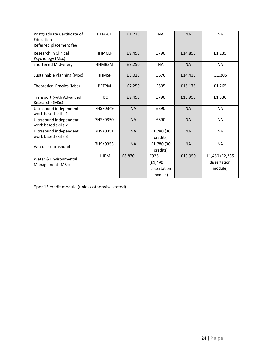| Postgraduate Certificate of<br>Education           | <b>HEPGCE</b> | £1,275    | <b>NA</b>                                    | <b>NA</b> | <b>NA</b>                                 |
|----------------------------------------------------|---------------|-----------|----------------------------------------------|-----------|-------------------------------------------|
| Referred placement fee                             |               |           |                                              |           |                                           |
| <b>Research in Clinical</b><br>Psychology (Msc)    | <b>HHMCLP</b> | £9,450    | £790                                         | £14,850   | £1,235                                    |
| <b>Shortened Midwifery</b>                         | <b>HHMBSM</b> | £9,250    | <b>NA</b>                                    | <b>NA</b> | <b>NA</b>                                 |
| Sustainable Planning (MSc)                         | <b>HHMSP</b>  | £8,020    | £670                                         | £14,435   | £1,205                                    |
| Theoretical Physics (Msc)                          | <b>PETPM</b>  | £7,250    | £605                                         | £15,175   | £1,265                                    |
| <b>Transport (with Advanced</b><br>Research) (MSc) | <b>TBC</b>    | £9,450    | £790                                         | £15,950   | £1,330                                    |
| Ultrasound independent<br>work based skills 1      | 7HSK0349      | <b>NA</b> | £890                                         | <b>NA</b> | <b>NA</b>                                 |
| Ultrasound independent<br>work based skills 2      | 7HSK0350      | <b>NA</b> | £890                                         | <b>NA</b> | <b>NA</b>                                 |
| Ultrasound independent<br>work based skills 3      | 7HSK0351      | <b>NA</b> | £1,780 (30<br>credits)                       | <b>NA</b> | <b>NA</b>                                 |
| Vascular ultrasound                                | 7HSK0353      | <b>NA</b> | £1,780 (30<br>credits)                       | <b>NA</b> | <b>NA</b>                                 |
| Water & Environmental<br>Management (MSc)          | <b>HHEM</b>   | £8,870    | £925<br>(E1, 490)<br>dissertation<br>module) | £13,950   | £1,450 (£2,335<br>dissertation<br>module) |

\*per 15 credit module (unless otherwise stated)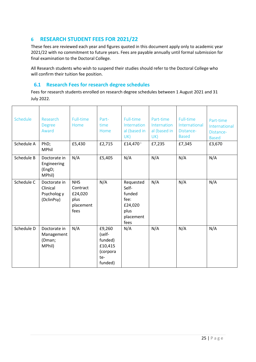# <span id="page-24-0"></span>**6 RESEARCH STUDENT FEES FOR 2021/22**

These fees are reviewed each year and figures quoted in this document apply only to academic year 2021/22 with no commitment to future years. Fees are payable annually until formal submission for final examination to the Doctoral College.

All Research students who wish to suspend their studies should refer to the Doctoral College who will confirm their tuition fee position.

#### <span id="page-24-10"></span><span id="page-24-9"></span><span id="page-24-8"></span><span id="page-24-7"></span><span id="page-24-6"></span><span id="page-24-1"></span>**6.1 Research Fees for research degree schedules**

<span id="page-24-5"></span><span id="page-24-4"></span><span id="page-24-3"></span>Fees for research students enrolled on research degree schedules between 1 August 2021 and 31 July 2022.

<span id="page-24-2"></span>

| Schedule   | Research<br><b>Degree</b><br>Award                    | Full-time<br>Home                                              | Part-<br>time<br>Home                                                | Full-time<br>Internation<br>al (based in<br>UK)                              | Part-time<br>Internation<br>al (based in<br>UK) | Full-time<br>International<br>Distance-<br><b>Based</b> | Part-time<br>International<br>Distance-<br><b>Based</b> |
|------------|-------------------------------------------------------|----------------------------------------------------------------|----------------------------------------------------------------------|------------------------------------------------------------------------------|-------------------------------------------------|---------------------------------------------------------|---------------------------------------------------------|
| Schedule A | PhD;<br><b>MPhil</b>                                  | £5,430                                                         | £2,715                                                               | £14,470 <sup>i</sup>                                                         | £7,235                                          | £7,345                                                  | £3,670                                                  |
| Schedule B | Doctorate in<br>Engineering<br>(EngD;<br>MPhil)       | N/A                                                            | £5,405                                                               | N/A                                                                          | N/A                                             | N/A                                                     | N/A                                                     |
| Schedule C | Doctorate in<br>Clinical<br>Psycholog y<br>(DclinPsy) | <b>NHS</b><br>Contract<br>£24,020<br>plus<br>placement<br>fees | N/A                                                                  | Requested<br>Self-<br>funded<br>fee:<br>£24,020<br>plus<br>placement<br>fees | N/A                                             | N/A                                                     | N/A                                                     |
| Schedule D | Doctorate in<br>Management<br>(Dman;<br>MPhil)        | N/A                                                            | £9,260<br>(self-<br>funded)<br>£10,415<br>(corpora<br>te-<br>funded) | N/A                                                                          | N/A                                             | N/A                                                     | N/A                                                     |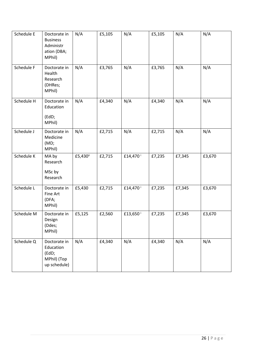| Schedule E | Doctorate in<br><b>Business</b><br>Administr<br>ation (DBA;<br>MPhil) | N/A      | £5,105 | N/A                  | £5,105 | N/A    | N/A    |
|------------|-----------------------------------------------------------------------|----------|--------|----------------------|--------|--------|--------|
| Schedule F | Doctorate in<br>Health<br>Research<br>(DHRes;<br>MPhil)               | N/A      | £3,765 | N/A                  | £3,765 | N/A    | N/A    |
| Schedule H | Doctorate in<br>Education<br>(EdD;<br>MPhil)                          | N/A      | £4,340 | N/A                  | £4,340 | N/A    | N/A    |
| Schedule J | Doctorate in<br>Medicine<br>(MD)<br>MPhil)                            | N/A      | £2,715 | N/A                  | £2,715 | N/A    | N/A    |
| Schedule K | MA by<br>Research<br>MSc by<br>Research                               | £5,430ii | £2,715 | £14,470 <sup>i</sup> | £7,235 | £7,345 | £3,670 |
| Schedule L | Doctorate in<br>Fine Art<br>(DFA;<br>MPhil)                           | £5,430   | £2,715 | £14,470 <sup>i</sup> | £7,235 | £7,345 | £3,670 |
| Schedule M | Doctorate in<br>Design<br>(Ddes;<br>MPhil)                            | £5,125   | £2,560 | £13,650 <sup>i</sup> | £7,235 | £7,345 | £3,670 |
| Schedule Q | Doctorate in<br>Education<br>(EdD;<br>MPhil) (Top<br>up schedule)     | N/A      | £4,340 | N/A                  | £4,340 | N/A    | N/A    |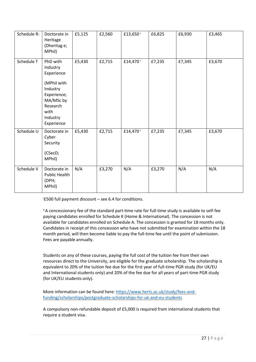| Schedule R: | Doctorate in<br>Heritage<br>(Dheritag e;<br>MPhil)                                                                                      | £5,125 | £2,560 | £13,650 <sup>i</sup> | £6,825 | £6,930 | £3,465 |
|-------------|-----------------------------------------------------------------------------------------------------------------------------------------|--------|--------|----------------------|--------|--------|--------|
| Schedule T  | PhD with<br>Industry<br>Experience<br>(MPhil with<br>Industry<br>Experience;<br>MA/MSc by<br>Research<br>with<br>Industry<br>Experience | £5,430 | £2,715 | £14,470              | £7,235 | £7,345 | £3,670 |
| Schedule U  | Doctorate in<br>Cyber<br>Security<br>(CSecD;<br>MPhil)                                                                                  | £5,430 | £2,715 | £14,470 <sup>i</sup> | £7,235 | £7,345 | £3,670 |
| Schedule V  | Doctorate in<br>Public Health<br>(DPH;<br>MPhil)                                                                                        | N/A    | £3,270 | N/A                  | £3,270 | N/A    | N/A    |

<sup>i</sup>£500 full payment discount – see 6.4 for conditions.

ii A concessionary fee of the standard part-time rate for full-time study is available to self-fee paying candidates enrolled for Schedule K (Home & International). The concession is not available for candidates enrolled on Schedule A. The concession is granted for 18 months only. Candidates in receipt of this concession who have not submitted for examination within the 18 month period, will then become liable to pay the full-time fee until the point of submission. Fees are payable annually.

Students on any of these courses, paying the full cost of the tuition fee from their own resources direct to the University, are eligible for the graduate scholarship. The scholarship is equivalent to 20% of the tuition fee due for the first year of full-time PGR study (for UK/EU and International students only) and 20% of the fee due for all years of part-time PGR study (for UK/EU students only).

More information can be found here: [https://www.herts.ac.uk/study/fees-and](https://www.herts.ac.uk/study/fees-and-funding/scholarships/postgraduate-scholarships-for-uk-and-eu-students)[funding/scholarships/postgraduate-scholarships-for-uk-and-eu-students](https://www.herts.ac.uk/study/fees-and-funding/scholarships/postgraduate-scholarships-for-uk-and-eu-students)

A compulsory non-refundable deposit of £5,000 is required from international students that require a student visa.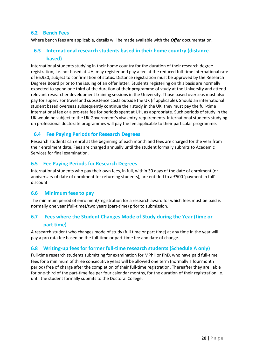# <span id="page-27-0"></span>**6.2 Bench Fees**

<span id="page-27-1"></span>Where bench fees are applicable, details will be made available with the *Offer* documentation*.*

# **6.3 International research students based in their home country (distancebased)**

International students studying in their home country for the duration of their research degree registration, i.e. not based at UH, may register and pay a fee at the reduced full-time international rate of £6,930, subject to confirmation of status. Distance registration must be approved by the Research Degrees Board prior to the issuing of an offer letter. Students registering on this basis are normally expected to spend one third of the duration of their programme of study at the University and attend relevant researcher development training sessions in the University. Those based overseas must also pay for supervisor travel and subsistence costs outside the UK (if applicable). Should an international student based overseas subsequently continue their study in the UK, they must pay the full-time international fee or a pro-rata fee for periods spent at UH, as appropriate. Such periods of study in the UK would be subject to the UK Government's visa entry requirements. International students studying on professional doctorate programmes will pay the fee applicable to their particular programme.

# <span id="page-27-2"></span>**6.4 Fee Paying Periods for Research Degrees**

Research students can enrol at the beginning of each month and fees are charged for the year from their enrolment date. Fees are charged annually until the student formally submits to Academic Services for final examination.

# <span id="page-27-3"></span>**6.5 Fee Paying Periods for Research Degrees**

International students who pay their own fees, in full, within 30 days of the date of enrolment (or anniversary of date of enrolment for returning students), are entitled to a £500 'payment in full' discount.

# <span id="page-27-4"></span>**6.6 Minimum fees to pay**

The minimum period of enrolment/registration for a research award for which fees must be paid is normally one year (full-time)/two years (part-time) prior to submission.

# <span id="page-27-5"></span>**6.7 Fees where the Student Changes Mode of Study during the Year (time or part time)**

A research student who changes mode of study (full time or part time) at any time in the year will pay a pro rata fee based on the full-time or part-time fee and date of change.

# <span id="page-27-6"></span>**6.8 Writing-up fees for former full-time research students (Schedule A only)**

Full-time research students submitting for examination for MPhil or PhD, who have paid full-time fees for a minimum of three consecutive years will be allowed one term (normally a fourmonth period) free of charge after the completion of their full-time registration. Thereafter they are liable for one-third of the part-time fee per four calendar months, for the duration of their registration i.e. until the student formally submits to the Doctoral College.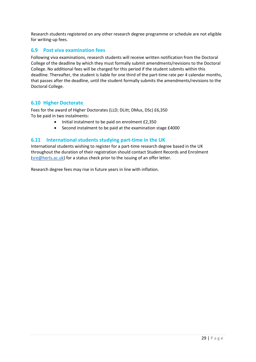Research students registered on any other research degree programme or schedule are not eligible for writing-up fees.

# <span id="page-28-0"></span>**6.9 Post viva examination fees**

Following viva examinations, research students will receive written notification from the Doctoral College of the deadline by which they must formally submit amendments/revisions to the Doctoral College. No additional fees will be charged for this period if the student submits within this deadline. Thereafter, the student is liable for one third of the part-time rate per 4 calendar months, that passes after the deadline, until the student formally submits the amendments/revisions to the Doctoral College.

#### <span id="page-28-1"></span>**6.10 Higher Doctorate**

Fees for the award of Higher Doctorates (LLD; DLitt; DMus, DSc) £6,350 To be paid in two instalments:

- Initial instalment to be paid on enrolment £2,350
- Second instalment to be paid at the examination stage £4000

#### <span id="page-28-2"></span>**6.11 International students studying part-time in the UK**

International students wishing to register for a part-time research degree based in the UK throughout the duration of their registration should contact Student Records and Enrolment [\(sre@herts.ac.uk\)](mailto:sre@herts.ac.uk) for a status check prior to the issuing of an offer letter.

Research degree fees may rise in future years in line with inflation.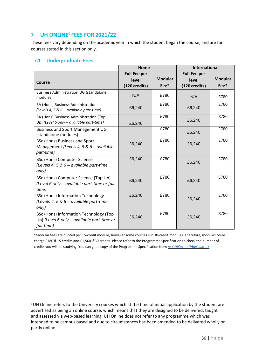# <span id="page-29-0"></span>**7 UH ONLINE<sup>6</sup>FEES FOR 2021/22**

These fees vary depending on the academic year in which the student began the course, and are for courses stated in this section only.

# <span id="page-29-1"></span>**7.1 Undergraduate Fees**

|                                                                                                    | Home                                          |                          | <b>International</b>                          |                          |
|----------------------------------------------------------------------------------------------------|-----------------------------------------------|--------------------------|-----------------------------------------------|--------------------------|
| Course                                                                                             | <b>Full Fee per</b><br>level<br>(120 credits) | <b>Modular</b><br>$Fee*$ | <b>Full Fee per</b><br>level<br>(120 credits) | <b>Modular</b><br>$Fee*$ |
| <b>Business Administration UG (standalone</b><br>modules)                                          | N/A                                           | £780                     | N/A                                           | £780                     |
| BA (Hons) Business Administration<br>(Levels 4, 5 & $6$ – available part-time)                     | £6,240                                        | £780                     | £6,240                                        | £780                     |
| BA (Hons) Business Administration (Top<br>Up) (Level 6 only - available part-time)                 | £6,240                                        | £780                     | £6,240                                        | £780                     |
| <b>Business and Sport Management UG</b><br>(standalone modules)                                    |                                               | £780                     | £6,240                                        | £780                     |
| BSc (Hons) Business and Sport<br>Management (Levels 4, 5 & 6 - available<br>part-time)             | £6,240                                        | £780                     | £6,240                                        | £780                     |
| <b>BSc (Hons) Computer Science</b><br>(Levels 4, 5 & 6 – available part-time<br>only)              | £6,240                                        | £780                     | £6,240                                        | £780                     |
| BSc (Hons) Computer Science (Top Up)<br>(Level 6 only - available part-time or full-<br>time)      | £6,240                                        | £780                     | £6,240                                        | £780                     |
| <b>BSc (Hons) Information Technology</b><br>(Levels 4, 5 & 6 - available part-time<br>only)        | £6,240                                        | £780                     | £6,240                                        | £780                     |
| BSc (Hons) Information Technology (Top<br>Up) (Level 6 only - available part-time or<br>full-time) | £6,240                                        | £780                     | £6,240                                        | £780                     |

\*Modular fees are quoted per 15-credit module, however some courses run 30-credit modules. Therefore, modules could charge £780 if 15 credits and £1,560 if 30 credits. Please refer to the Programme Specification to check the number of credits you will be studying. You can get a copy of the Programme Specification from **AskUHOnline@herts.ac.uk** 

<sup>6</sup>UH Online refers to the University courses which at the time of initial application by the student are advertised as being an online course, which means that they are designed to be delivered, taught and assessed via web-based learning. UH Online does not refer to any programme which was intended to be campus based and due to circumstances has been amended to be delivered wholly or partly online.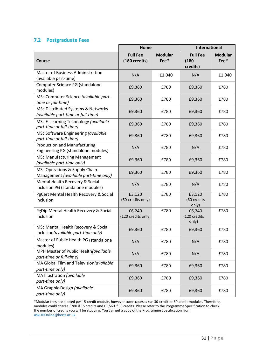#### <span id="page-30-0"></span>**7.2 Postgraduate Fees**

|                                                                            | Home                             |                        | <b>International</b>                 |                        |
|----------------------------------------------------------------------------|----------------------------------|------------------------|--------------------------------------|------------------------|
| Course                                                                     | <b>Full Fee</b><br>(180 credits) | <b>Modular</b><br>Fee* | <b>Full Fee</b><br>(180)<br>credits) | <b>Modular</b><br>Fee* |
| <b>Master of Business Administration</b><br>(available part-time)          | N/A                              | £1,040                 | N/A                                  | £1,040                 |
| Computer Science PG (standalone<br>modules)                                | £9,360                           | £780                   | £9,360                               | £780                   |
| MSc Computer Science (available part-<br>time or full-time)                | £9,360                           | £780                   | £9,360                               | £780                   |
| MSc Distributed Systems & Networks<br>(available part-time or full-time)   | £9,360                           | £780                   | £9,360                               | £780                   |
| MSc E-Learning Technology (available<br>part-time or full-time)            | £9,360                           | £780                   | £9,360                               | £780                   |
| MSc Software Engineering (available<br>part-time or full-time)             | £9,360                           | £780                   | £9,360                               | £780                   |
| <b>Production and Manufacturing</b><br>Engineering PG (standalone modules) | N/A                              | £780                   | N/A                                  | £780                   |
| <b>MSc Manufacturing Management</b><br>(available part-time only)          | £9,360                           | £780                   | £9,360                               | £780                   |
| MSc Operations & Supply Chain<br>Management (available part-time only)     | £9,360                           | £780                   | £9,360                               | £780                   |
| Mental Health Recovery & Social<br>Inclusion PG (standalone modules)       | N/A                              | £780                   | N/A                                  | £780                   |
| PgCert Mental Health Recovery & Social<br>Inclusion                        | £3,120<br>(60-credits only)      | £780                   | £3,120<br>(60 credits<br>only)       | £780                   |
| PgDip Mental Health Recovery & Social<br>Inclusion                         | £6,240<br>(120 credits only)     | £780                   | £6,240<br>(120 credits<br>only)      | £780                   |
| MSc Mental Health Recovery & Social<br>Inclusion(available part-time only) | £9,360                           | £780                   | £9,360                               | £780                   |
| Master of Public Health PG (standalone<br>modules)                         | N/A                              | £780                   | N/A                                  | £780                   |
| MPH Master of Public Health(available<br>part-time or full-time)           | N/A                              | £780                   | N/A                                  | £780                   |
| MA Global Film and Television(available<br>part-time only)                 | £9,360                           | £780                   | £9,360                               | £780                   |
| MA Illustration (available<br>part-time only)                              | £9,360                           | £780                   | £9,360                               | £780                   |
| MA Graphic Design (available<br>part-time only)                            | £9,360                           | £780                   | £9,360                               | £780                   |

\*Modular fees are quoted per 15-credit module, however some courses run 30-credit or 60-credit modules. Therefore, modules could charge £780 if 15 credits and £1,560 if 30 credits. Please refer to the Programme Specification to check the number of credits you will be studying. You can get a copy of the Programme Specification from [AskUHOnline@herts.ac.uk](mailto:AskUHOnline@herts.ac.uk)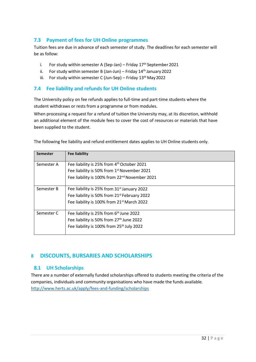# <span id="page-31-0"></span>**7.3 Payment of fees for UH Online programmes**

Tuition fees are due in advance of each semester of study. The deadlines for each semester will be as follow:

- i. For study within semester A (Sep-Jan) Friday  $17<sup>th</sup>$  September 2021
- ii. For study within semester B (Jan-Jun) Friday  $14<sup>th</sup>$  January 2022
- iii. For study within semester C (Jun-Sep) Friday  $13<sup>th</sup>$  May 2022

# <span id="page-31-1"></span>**7.4 Fee liability and refunds for UH Online students**

The University policy on fee refunds applies to full-time and part-time students where the student withdraws or rests from a programme or from modules.

When processing a request for a refund of tuition the University may, at its discretion, withhold an additional element of the module fees to cover the cost of resources or materials that have been supplied to the student.

| <b>Semester</b> | <b>Fee liability</b>                                      |
|-----------------|-----------------------------------------------------------|
| Semester A      | Fee liability is 25% from 4th October 2021                |
|                 | Fee liability is 50% from 1st November 2021               |
|                 | Fee liability is 100% from 22 <sup>nd</sup> November 2021 |
| Semester B      | Fee liability is 25% from 31 <sup>st</sup> January 2022   |
|                 | Fee liability is 50% from 21 <sup>st</sup> February 2022  |
|                 | Fee liability is 100% from 21 <sup>st</sup> March 2022    |
| Semester C      | Fee liability is 25% from 6 <sup>th</sup> June 2022       |
|                 | Fee liability is 50% from 27th June 2022                  |
|                 | Fee liability is 100% from 25 <sup>th</sup> July 2022     |

The following fee liability and refund entitlement dates applies to UH Online students only.

# <span id="page-31-3"></span><span id="page-31-2"></span>**8 DISCOUNTS, BURSARIES AND SCHOLARSHIPS**

# **8.1 UH Scholarships**

There are a number of externally funded scholarships offered to students meeting the criteria of the companies, individuals and community organisations who have made the funds available. <http://www.herts.ac.uk/apply/fees-and-funding/scholarships>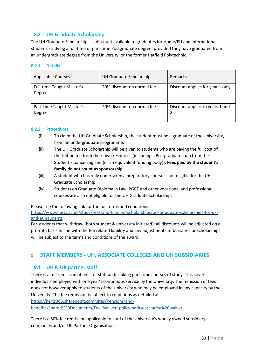# **8.2 UH Graduate Scholarship**

<span id="page-32-0"></span>The UH Graduate Scholarship is a discount available to graduates for Home/EU and international students studying a full-time or part-time Postgraduate degree, provided they have graduated from an undergraduate degree from the University, or the former Hatfield Polytechnic.

#### <span id="page-32-1"></span>**8.2.1 Details**

| <b>Applicable Courses</b>                  | UH Graduate Scholarship    | <b>Remarks</b>                       |
|--------------------------------------------|----------------------------|--------------------------------------|
| <b>Full-time Taught Master's</b><br>Degree | 20% discount on normal fee | Discount applies for year 1 only.    |
| Part-time Taught Master's<br>Degree        | 20% discount on normal fee | Discount applies to years 1 and<br>2 |

#### <span id="page-32-2"></span>**8.2.2 Procedures**

- (i) To claim the UH Graduate Scholarship, the student must be a graduate of the University, from an undergraduate programme.
- **(ii)** The UH Graduate Scholarship will be given to students who are paying the full cost of the tuition fee from their own resources (including a Postgraduate loan from the Student Finance England (or an equivalent funding body)). **Fees paid by the student's**  family do not count as sponsorship.
- (iii) A student who has only undertaken a preparatory course is not eligible for the UH Graduate Scholarship.
- (iv) Students on Graduate Diploma in Law, PGCE and other vocational and professional courses are also not eligible for the UH Graduate Scholarship.

Please see the following link for the full terms and conditions

[https://www.herts.ac.uk/study/fees-and-funding/scholarships/postgraduate-scholarships-for-uk](https://www.herts.ac.uk/study/fees-and-funding/scholarships/postgraduate-scholarships-for-uk-and-eu-students)[and-eu-students](https://www.herts.ac.uk/study/fees-and-funding/scholarships/postgraduate-scholarships-for-uk-and-eu-students)

For students that withdraw (both student & university initiated); all discounts will be adjusted on a pro-rata basis in line with the fee related liability and any adjustments to bursaries or scholarships will be subject to the terms and conditions of the award.

# <span id="page-32-4"></span><span id="page-32-3"></span>**9 STAFF MEMBERS - UH, ASSOCIATE COLLEGES AND UH SUBSIDIARIES**

# **9.1 UH & UK partner staff**

There is a full remission of fees for staff undertaking part-time courses of study. This covers individuals employed with one year's continuous service by the University. The remission of fees does not however apply to students of the University who may be employed in any capacity by the University. The fee remission is subject to conditions as detailed at [https://herts365.sharepoint.com/sites/Pensions-and](https://herts365.sharepoint.com/sites/Pensions-and-benefits/Shared%20Documents/Fee_Waiver_policy.pdf#search%3Dfee%20waiver)[benefits/Shared%20Documents/Fee\\_Waiver\\_policy.pdf#search=fee%20waiver](https://herts365.sharepoint.com/sites/Pensions-and-benefits/Shared%20Documents/Fee_Waiver_policy.pdf#search%3Dfee%20waiver)

There is a 50% fee remission applicable to staff of the University's wholly owned subsidiary companies and/or UK Partner Organisations.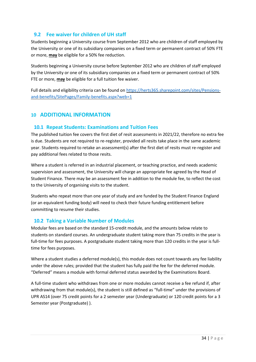# <span id="page-33-0"></span>**9.2 Fee waiver for children of UH staff**

Students beginning a University course from September 2012 who are children of staff employed by the University or one of its subsidiary companies on a fixed term or permanent contract of 50% FTE or more, **may** be eligible for a 50% fee reduction.

Students beginning a University course before September 2012 who are children of staff employed by the University or one of its subsidiary companies on a fixed term or permanent contract of 50% FTE or more, **may** be eligible for a full tuition fee waiver.

Full details and eligibility criteria can be found o[n https://herts365.sharepoint.com/sites/Pensions](https://herts365.sharepoint.com/sites/Pensions-and-benefits/SitePages/Family-benefits.aspx?web=1)[and-benefits/SitePages/Family-benefits.aspx?web=1](https://herts365.sharepoint.com/sites/Pensions-and-benefits/SitePages/Family-benefits.aspx?web=1)

# <span id="page-33-2"></span><span id="page-33-1"></span>**10 ADDITIONAL INFORMATION**

# **10.1 Repeat Students: Examinations and Tuition Fees**

The published tuition fee covers the first diet of resit assessments in 2021/22, therefore no extra fee is due. Students are not required to re-register, provided all resits take place in the same academic year. Students required to retake an assessment(s) after the first diet of resits must re-register and pay additional fees related to those resits.

Where a student is referred in an industrial placement, or teaching practice, and needs academic supervision and assessment, the University will charge an appropriate fee agreed by the Head of Student Finance. There may be an assessment fee in addition to the module fee, to reflect the cost to the University of organising visits to the student.

Students who repeat more than one year of study and are funded by the Student Finance England (or an equivalent funding body) will need to check their future funding entitlement before committing to resume their studies.

# <span id="page-33-3"></span>**10.2 Taking a Variable Number of Modules**

Modular fees are based on the standard 15-credit module, and the amounts below relate to students on standard courses. An undergraduate student taking more than 75 credits in the year is full-time for fees purposes. A postgraduate student taking more than 120 credits in the year is fulltime for fees purposes.

Where a student studies a deferred module(s), this module does not count towards any fee liability under the above rules; provided that the student has fully paid the fee for the deferred module. "Deferred" means a module with formal deferred status awarded by the Examinations Board.

A full-time student who withdraws from one or more modules cannot receive a fee refund if, after withdrawing from that module(s), the student is still defined as "full-time" under the provisions of UPR AS14 (over 75 credit points for a 2 semester year (Undergraduate) or 120 credit points for a 3 Semester year (Postgraduate) ).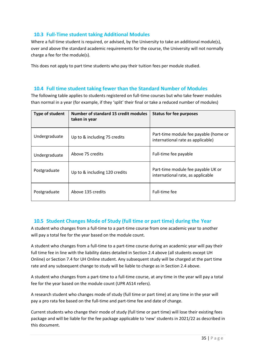# **10.3 Full-Time student taking Additional Modules**

<span id="page-34-0"></span>Where a full time student is required, or advised, by the University to take an additional module(s), over and above the standard academic requirements for the course, the University will not normally charge a fee for the module(s).

This does not apply to part time students who pay their tuition fees per module studied.

# **10.4 Full time student taking fewer than the Standard Number of Modules**

<span id="page-34-1"></span>The following table applies to students registered on full-time courses but who take fewer modules than normal in a year (for example, if they 'split' their final or take a reduced number of modules)

| Type of student | Number of standard 15 credit modules<br>taken in year | <b>Status for fee purposes</b>                                             |
|-----------------|-------------------------------------------------------|----------------------------------------------------------------------------|
| Undergraduate   | Up to & including 75 credits                          | Part-time module fee payable (home or<br>international rate as applicable) |
| Undergraduate   | Above 75 credits                                      | Full-time fee payable                                                      |
| Postgraduate    | Up to & including 120 credits                         | Part-time module fee payable UK or<br>international rate, as applicable    |
| Postgraduate    | Above 135 credits                                     | Full-time fee                                                              |

# **10.5 Student Changes Mode of Study (full time or part time) during the Year**

<span id="page-34-2"></span>A student who changes from a full-time to a part-time course from one academic year to another will pay a total fee for the year based on the module count.

A student who changes from a full-time to a part-time course during an academic year will pay their full time fee in line with the liability dates detailed in Section 2.4 above (all students except UH Online) or Section 7.4 for UH Online student. Any subsequent study will be charged at the part time rate and any subsequent change to study will be liable to charge as in Section 2.4 above.

A student who changes from a part-time to a full-time course, at any time in the year will pay a total fee for the year based on the module count (UPR AS14 refers).

A research student who changes mode of study (full time or part time) at any time in the year will pay a pro rata fee based on the full-time and part-time fee and date of change.

Current students who change their mode of study (full time or part time) will lose their existing fees package and will be liable for the fee package applicable to 'new' students in 2021/22 as described in this document.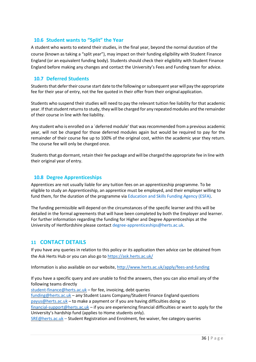#### <span id="page-35-0"></span>**10.6 Student wants to "Split" the Year**

A student who wants to extend their studies, in the final year, beyond the normal duration of the course (known as taking a "split year"), may impact on their funding eligibility with Student Finance England (or an equivalent funding body). Students should check their eligibility with Student Finance England before making any changes and contact the University's Fees and Funding team for advice.

#### <span id="page-35-1"></span>**10.7 Deferred Students**

Students that defer their course start date to the following or subsequent year will pay the appropriate fee for their year of entry, not the fee quoted in their offer from their original application.

Students who suspend their studies will need to pay the relevant tuition fee liability for that academic year. If that student returns to study, they will be charged for any repeated modules and the remainder of their course in line with fee liability.

Any student who is enrolled on a `deferred module' that was recommended from a previous academic year, will not be charged for those deferred modules again but would be required to pay for the remainder of their course fee up to 100% of the original cost, within the academic year they return. The course fee will only be charged once.

Students that go dormant, retain their fee package and will be charged the appropriate fee in line with their original year of entry.

#### **10.8 Degree Apprenticeships**

<span id="page-35-2"></span>Apprentices are not usually liable for any tuition fees on an apprenticeship programme. To be eligible to study an Apprenticeship, an apprentice must be employed, and their employer willing to fund them, for the duration of the programme via Education and Skills Funding Agency (ESFA).

The funding permissible will depend on the circumstances of the specific learner and this will be detailed in the formal agreements that will have been completed by both the Employer and learner. For further information regarding the funding for Higher and Degree Apprenticeships at the University of Hertfordshire please contac[t degree-apprenticeships@herts.ac.uk.](mailto:degree-apprenticeships@herts.ac.uk)

# <span id="page-35-3"></span>**11 CONTACT DETAILS**

If you have any queries in relation to this policy or its application then advice can be obtained from the Ask Herts Hub or you can also go to<https://ask.herts.ac.uk/>

Information is also available on our website,<http://www.herts.ac.uk/apply/fees-and-funding>

If you have a specific query and are unable to find the answers, then you can also email any of the following teams directly

[student-finance@herts.ac.uk](mailto:student-finance@herts.ac.uk) – for fee, invoicing, debt queries [funding@herts.ac.uk](mailto:funding@herts.ac.uk) – any Student Loans Company/Student Finance England questions [payus@herts.ac.uk](mailto:payus@herts.ac.uk) – to make a payment or if you are having difficulties doing so [financial-support@herts.ac.uk](mailto:financial-support@herts.ac.uk) – if you are experiencing financial difficulties or want to apply for the University's hardship fund (applies to Home students only). [SRE@herts.ac.uk](mailto:SRE@herts.ac.uk) – Student Registration and Enrolment, fee waiver, fee category queries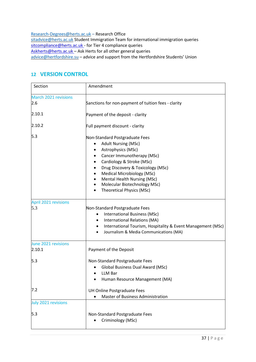[Research-Degrees@herts.ac.uk](mailto:Research-Degrees@herts.ac.uk) – Research Office [sitadvice@herts.ac.uk](mailto:sitadvice@herts.ac.uk) Student Immigration Team for international immigration queries [sitcompliance@herts.ac.uk -](mailto:sitcompliance@herts.ac.uk) for Tier 4 compliance queries [Askherts@herts.ac.uk](mailto:Askherts@herts.ac.uk) - Ask Herts for all other general queries [advice@hertfordshire.su](mailto:advice@hertfordshire.su) - advice and support from the Hertfordshire Students' Union

# <span id="page-36-0"></span>**12 VERSION CONTROL**

| Section                            | Amendment                                                                                                                                                                                                                                                                                                                                  |
|------------------------------------|--------------------------------------------------------------------------------------------------------------------------------------------------------------------------------------------------------------------------------------------------------------------------------------------------------------------------------------------|
| <b>March 2021 revisions</b><br>2.6 | Sanctions for non-payment of tuition fees - clarity                                                                                                                                                                                                                                                                                        |
| 2.10.1                             | Payment of the deposit - clarity                                                                                                                                                                                                                                                                                                           |
| 2.10.2                             | Full payment discount - clarity                                                                                                                                                                                                                                                                                                            |
| 5.3                                | Non-Standard Postgraduate Fees<br><b>Adult Nursing (MSc)</b><br>$\bullet$<br>Astrophysics (MSc)<br>Cancer Immunotherapy (MSc)<br>Cardiology & Stroke (MSc)<br>Drug Discovery & Toxicology (MSc)<br>Medical Microbiology (MSc)<br>Mental Health Nursing (MSc)<br>Molecular Biotechnology MSc)<br>٠<br><b>Theoretical Physics (MSc)</b><br>٠ |
| <b>April 2021 revisions</b><br>5.3 | Non-Standard Postgraduate Fees<br><b>International Business (MSc)</b><br>International Relations (MA)<br>$\bullet$<br>International Tourism, Hospitality & Event Management (MSc)<br>$\bullet$<br>Journalism & Media Communications (MA)                                                                                                   |
| June 2021 revisions<br>2.10.1      | Payment of the Deposit                                                                                                                                                                                                                                                                                                                     |
| 5.3                                | Non-Standard Postgraduate Fees<br><b>Global Business Dual Award (MSc)</b><br><b>LLM Bar</b><br>Human Resource Management (MA)                                                                                                                                                                                                              |
| 7.2                                | UH Online Postgraduate Fees<br><b>Master of Business Administration</b>                                                                                                                                                                                                                                                                    |
| <b>July 2021 revisions</b><br>5.3  | Non-Standard Postgraduate Fees<br>Criminology (MSc)                                                                                                                                                                                                                                                                                        |